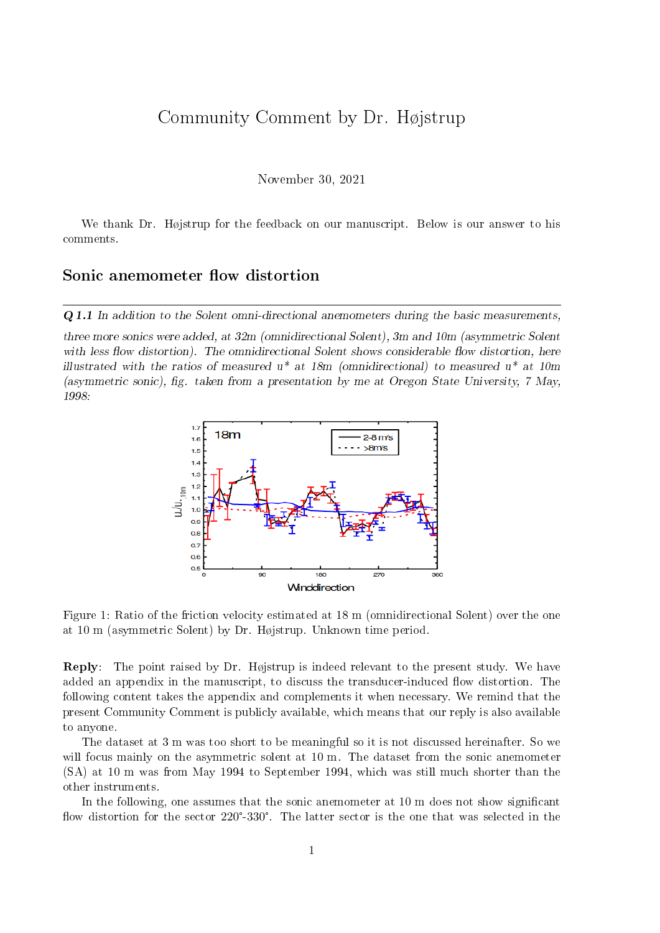## Community Comment by Dr. Højstrup

November 30, 2021

We thank Dr. Højstrup for the feedback on our manuscript. Below is our answer to his comments.

## Sonic anemometer flow distortion

Q 1.1 In addition to the Solent omni-directional anemometers during the basic measurements,

three more sonics were added, at 32m (omnidirectional Solent), 3m and 10m (asymmetric Solent with less flow distortion). The omnidirectional Solent shows considerable flow distortion, here illustrated with the ratios of measured  $u^*$  at 18m (omnidirectional) to measured  $u^*$  at 10m (asymmetric sonic), fig. taken from a presentation by me at Oregon State University,  $7$  May, 1998:



<span id="page-0-0"></span>Figure 1: Ratio of the friction velocity estimated at 18 m (omnidirectional Solent) over the one at 10 m (asymmetric Solent) by Dr. Højstrup. Unknown time period.

Reply: The point raised by Dr. Højstrup is indeed relevant to the present study. We have added an appendix in the manuscript, to discuss the transducer-induced flow distortion. The following content takes the appendix and complements it when necessary. We remind that the present Community Comment is publicly available, which means that our reply is also available to anyone.

The dataset at 3 m was too short to be meaningful so it is not discussed hereinafter. So we will focus mainly on the asymmetric solent at 10 m. The dataset from the sonic anemometer (SA) at 10 m was from May 1994 to September 1994, which was still much shorter than the other instruments.

In the following, one assumes that the sonic anemometer at 10 m does not show signicant flow distortion for the sector  $220^{\circ}$ -330°. The latter sector is the one that was selected in the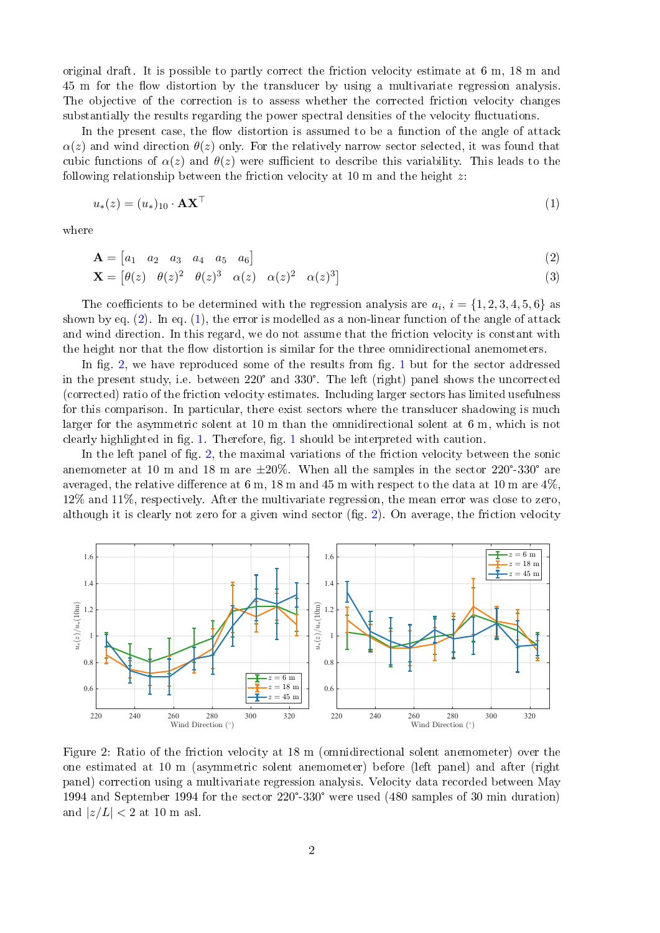original draft. It is possible to partly correct the friction velocity estimate at 6 m, 18 m and 45 m for the flow distortion by the transducer by using a multivariate regression analysis. The objective of the correction is to assess whether the corrected friction velocity changes substantially the results regarding the power spectral densities of the velocity fluctuations.

In the present case, the flow distortion is assumed to be a function of the angle of attack  $\alpha(z)$  and wind direction  $\theta(z)$  only. For the relatively narrow sector selected, it was found that cubic functions of  $\alpha(z)$  and  $\theta(z)$  were sufficient to describe this variability. This leads to the following relationship between the friction velocity at 10 m and the height  $z$ :

<span id="page-1-1"></span>
$$
u_*(z) = (u_*)_{10} \cdot \mathbf{A} \mathbf{X}^\top
$$
 (1)

where

<span id="page-1-0"></span>
$$
\mathbf{A} = \begin{bmatrix} a_1 & a_2 & a_3 & a_4 & a_5 & a_6 \end{bmatrix} \tag{2}
$$

$$
\mathbf{X} = \begin{bmatrix} \theta(z) & \theta(z)^2 & \theta(z)^3 & \alpha(z) & \alpha(z)^2 & \alpha(z)^3 \end{bmatrix}
$$
 (3)

The coefficients to be determined with the regression analysis are  $a_i, i = \{1, 2, 3, 4, 5, 6\}$  as shown by eq.  $(2)$ . In eq.  $(1)$ , the error is modelled as a non-linear function of the angle of attack and wind direction. In this regard, we do not assume that the friction velocity is constant with the height nor that the flow distortion is similar for the three omnidirectional anemometers.

In fig. [2,](#page-1-2) we have reproduced some of the results from fig. 1 but for the sector addressed in the present study, i.e. between <sup>220</sup>° and <sup>330</sup>°. The left (right) panel shows the uncorrected (corrected) ratio of the friction velocity estimates. Including larger sectors has limited usefulness for this comparison. In particular, there exist sectors where the transducer shadowing is much larger for the asymmetric solent at 10 m than the omnidirectional solent at 6 m, which is not clearly highlighted in fig. [1.](#page-0-0) Therefore, fig. [1](#page-0-0) should be interpreted with caution.

In the left panel of fig. [2,](#page-1-2) the maximal variations of the friction velocity between the sonic clearly highlighted in fig. 1. Therefore, fig. 1 should be interpreted with caution.<br>In the left panel of fig. 2, the maximal variations of the friction velocity between the sonic<br>anemometer at 10 m and 18 m are  $\pm 20\%$ averaged, the relative difference at 6 m, 18 m and 45 m with respect to the data at 10 m are  $4\%$ . 12% and 11%, respectively. After the multivariate regression, the mean error was close to zero, although it is clearly not zero for a given wind sector (fig. [2\)](#page-1-2). On average, the friction velocity



<span id="page-1-2"></span>Figure 2: Ratio of the friction velocity at 18 m (omnidirectional solent anemometer) over the one estimated at 10 m (asymmetric solent anemometer) before (left panel) and after (right panel) correction using a multivariate regression analysis. Velocity data recorded between May 1994 and September 1994 for the sector <sup>220</sup>°-330° were used (480 samples of 30 min duration) and  $|z/L| < 2$  at 10 m asl.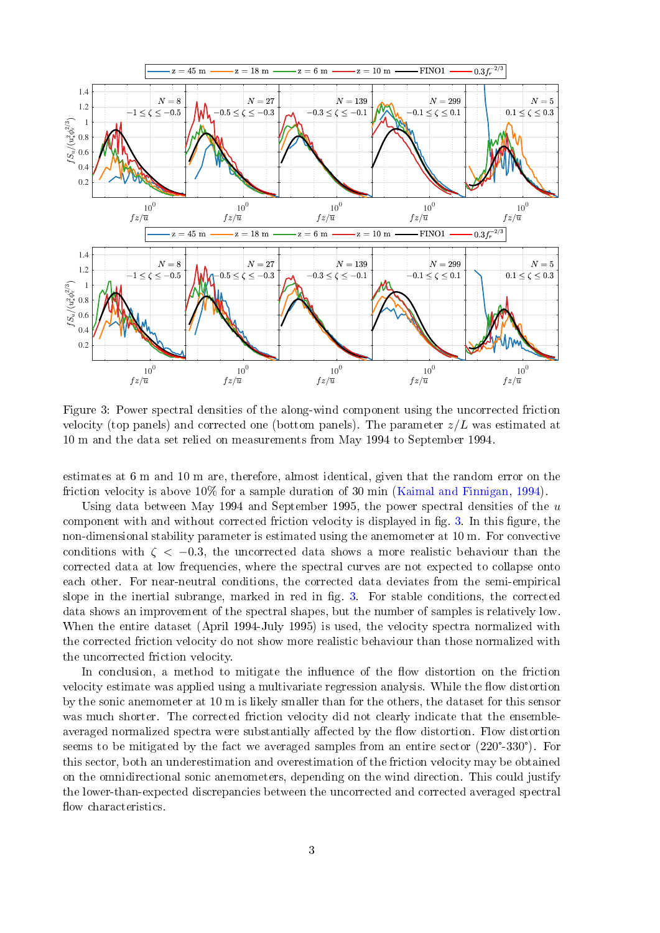

<span id="page-2-0"></span>Figure 3: Power spectral densities of the along-wind component using the uncorrected friction velocity (top panels) and corrected one (bottom panels). The parameter  $z/L$  was estimated at 10 m and the data set relied on measurements from May 1994 to September 1994.

estimates at 6 m and 10 m are, therefore, almost identical, given that the random error on the friction velocity is above 10% for a sample duration of 30 min [\(Kaimal and Finnigan,](#page-5-0) [1994\)](#page-5-0).

Using data between May 1994 and September 1995, the power spectral densities of the  $u$ component with and without corrected friction velocity is displayed in fig. [3.](#page-2-0) In this figure, the non-dimensional stability parameter is estimated using the anemometer at 10 m. For convective conditions with  $\zeta$  < -0.3, the uncorrected data shows a more realistic behaviour than the corrected data at low frequencies, where the spectral curves are not expected to collapse onto each other. For near-neutral conditions, the corrected data deviates from the semi-empirical slope in the inertial subrange, marked in red in fig. [3.](#page-2-0) For stable conditions, the corrected data shows an improvement of the spectral shapes, but the number of samples is relatively low. When the entire dataset (April 1994-July 1995) is used, the velocity spectra normalized with the corrected friction velocity do not show more realistic behaviour than those normalized with the uncorrected friction velocity.

In conclusion, a method to mitigate the influence of the flow distortion on the friction velocity estimate was applied using a multivariate regression analysis. While the flow distortion by the sonic anemometer at 10 m is likely smaller than for the others, the dataset for this sensor was much shorter. The corrected friction velocity did not clearly indicate that the ensembleaveraged normalized spectra were substantially affected by the flow distortion. Flow distortion was much shorter. The corrected friction velocity did not clearly indicate that the ensemble-<br>averaged normalized spectra were substantially affected by the flow distortion. Flow distortion<br>seems to be mitigated by the fac this sector, both an underestimation and overestimation of the friction velocity may be obtained on the omnidirectional sonic anemometers, depending on the wind direction. This could justify the lower-than-expected discrepancies between the uncorrected and corrected averaged spectral flow characteristics.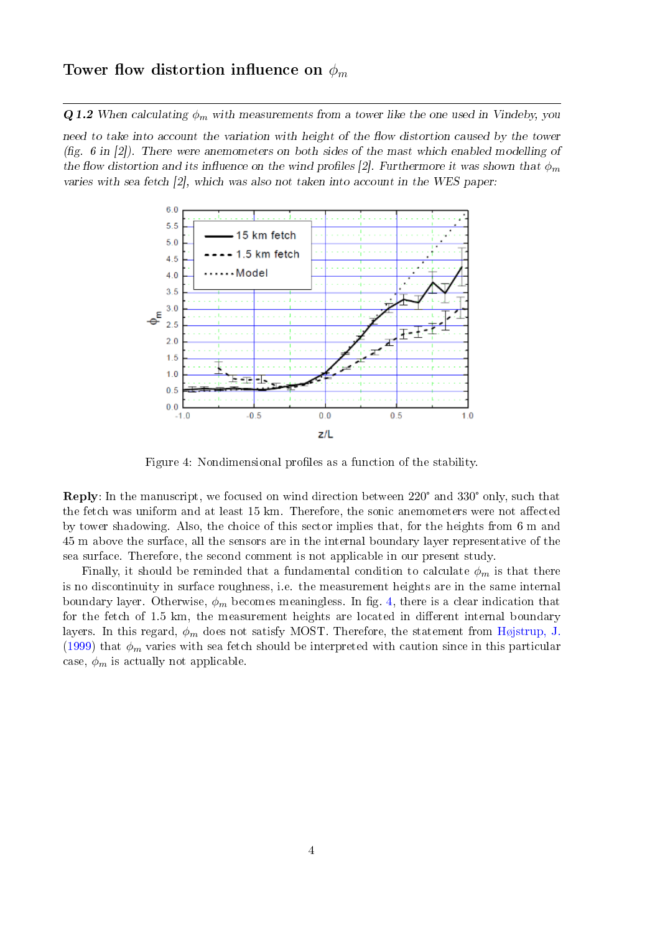## Tower flow distortion influence on  $\phi_m$

**Q 1.2** When calculating  $\phi_m$  with measurements from a tower like the one used in Vindeby, you

need to take into account the variation with height of the flow distortion caused by the tower (fig. 6 in [2]). There were anemometers on both sides of the mast which enabled modelling of the flow distortion and its influence on the wind profiles [2]. Furthermore it was shown that  $\phi_m$ varies with sea fetch [2], which was also not taken into account in the WES paper:



<span id="page-3-0"></span>Figure 4: Nondimensional profiles as a function of the stability.

Reply: In the manuscript, we focused on wind direction between <sup>220</sup>° and <sup>330</sup>° only, such that the fetch was uniform and at least 15 km. Therefore, the sonic anemometers were not affected by tower shadowing. Also, the choice of this sector implies that, for the heights from 6 m and 45 m above the surface, all the sensors are in the internal boundary layer representative of the sea surface. Therefore, the second comment is not applicable in our present study.

Finally, it should be reminded that a fundamental condition to calculate  $\phi_m$  is that there is no discontinuity in surface roughness, i.e. the measurement heights are in the same internal boundary layer. Otherwise,  $\phi_m$  becomes meaningless. In fig. [4,](#page-3-0) there is a clear indication that for the fetch of  $1.5 \text{ km}$ , the measurement heights are located in different internal boundary layers. In this regard,  $\phi_m$  does not satisfy MOST. Therefore, the statement from [Højstrup, J.](#page-5-1) [\(1999\)](#page-5-1) that  $\phi_m$  varies with sea fetch should be interpreted with caution since in this particular case,  $\phi_m$  is actually not applicable.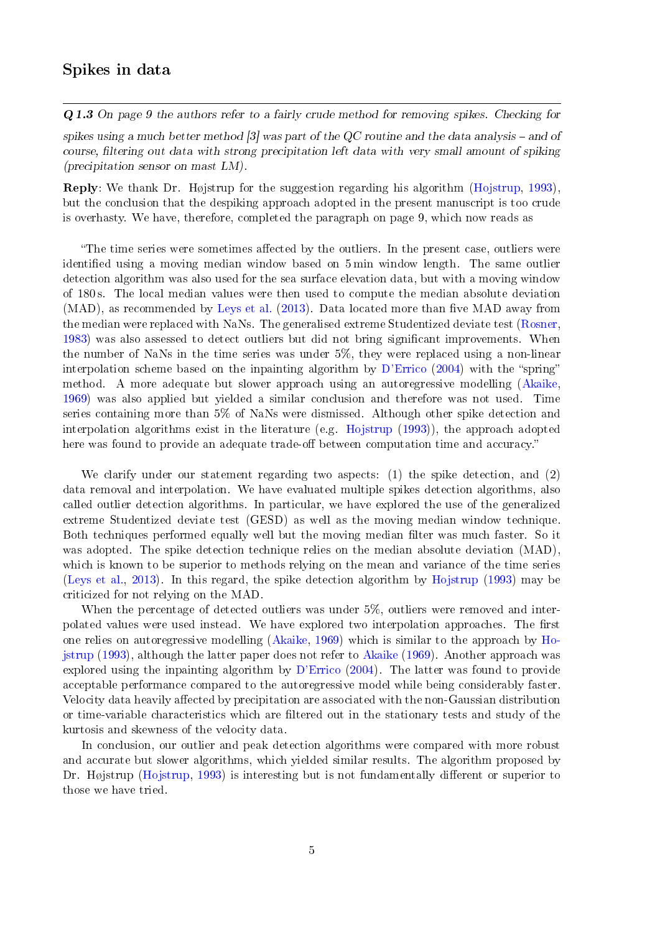Q 1.3 On page 9 the authors refer to a fairly crude method for removing spikes. Checking for

spikes using a much better method  $\beta$  was part of the QC routine and the data analysis – and of course, filtering out data with strong precipitation left data with very small amount of spiking (precipitation sensor on mast LM).

Reply: We thank Dr. Højstrup for the suggestion regarding his algorithm [\(Hojstrup,](#page-5-2) [1993\)](#page-5-2), but the conclusion that the despiking approach adopted in the present manuscript is too crude is overhasty. We have, therefore, completed the paragraph on page 9, which now reads as

"The time series were sometimes affected by the outliers. In the present case, outliers were identified using a moving median window based on 5 min window length. The same outlier detection algorithm was also used for the sea surface elevation data, but with a moving window of 180 s. The local median values were then used to compute the median absolute deviation (MAD), as recommended by [Leys et al.](#page-5-3)  $(2013)$ . Data located more than five MAD away from the median were replaced with NaNs. The generalised extreme Studentized deviate test [\(Rosner,](#page-5-4) [1983\)](#page-5-4) was also assessed to detect outliers but did not bring signicant improvements. When the number of NaNs in the time series was under 5%, they were replaced using a non-linear interpolation scheme based on the inpainting algorithm by  $D'$ Errico [\(2004\)](#page-5-5) with the "spring" method. A more adequate but slower approach using an autoregressive modelling [\(Akaike,](#page-5-6) [1969\)](#page-5-6) was also applied but yielded a similar conclusion and therefore was not used. Time series containing more than 5% of NaNs were dismissed. Although other spike detection and interpolation algorithms exist in the literature (e.g. [Hojstrup](#page-5-2) [\(1993\)](#page-5-2)), the approach adopted here was found to provide an adequate trade-off between computation time and accuracy."

We clarify under our statement regarding two aspects: (1) the spike detection, and (2) data removal and interpolation. We have evaluated multiple spikes detection algorithms, also called outlier detection algorithms. In particular, we have explored the use of the generalized extreme Studentized deviate test (GESD) as well as the moving median window technique. Both techniques performed equally well but the moving median filter was much faster. So it was adopted. The spike detection technique relies on the median absolute deviation (MAD), which is known to be superior to methods relying on the mean and variance of the time series [\(Leys et al.,](#page-5-3) [2013\)](#page-5-3). In this regard, the spike detection algorithm by [Hojstrup](#page-5-2) [\(1993\)](#page-5-2) may be criticized for not relying on the MAD.

When the percentage of detected outliers was under 5%, outliers were removed and interpolated values were used instead. We have explored two interpolation approaches. The first one relies on autoregressive modelling [\(Akaike,](#page-5-6) [1969\)](#page-5-6) which is similar to the approach by [Ho](#page-5-2)[jstrup](#page-5-2) [\(1993\)](#page-5-2), although the latter paper does not refer to [Akaike](#page-5-6) [\(1969\)](#page-5-6). Another approach was explored using the inpainting algorithm by [D'Errico](#page-5-5) [\(2004\)](#page-5-5). The latter was found to provide acceptable performance compared to the autoregressive model while being considerably faster. Velocity data heavily affected by precipitation are associated with the non-Gaussian distribution or time-variable characteristics which are filtered out in the stationary tests and study of the kurtosis and skewness of the velocity data.

In conclusion, our outlier and peak detection algorithms were compared with more robust and accurate but slower algorithms, which yielded similar results. The algorithm proposed by Dr. Højstrup [\(Hojstrup,](#page-5-2) [1993\)](#page-5-2) is interesting but is not fundamentally different or superior to those we have tried.